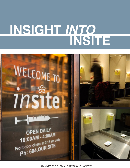# **INSIGHT** *INTO* **INSITE**



*PRESENTED BY THE URBAN HEALTH RESEARCH INITIATIVE*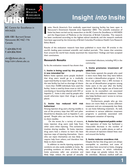

BC Centre for Excellence in HIV/AIDS

608-1081 Burrard Street Vancouver, BC V6Z 1Y6 Canada

T: 604.806.9142 F: 604.806.9044

uhri@cfenet.ubc.ca http://uhri.cfenet.ubc.ca

# **Insight** *into* **Insite**

nsite, North America's first medically supervised injecting facility, has been open in Vancouver's Downtown Eastside since September 2003. The scientific evaluation of Insite has been carried out by researchers at the BC Centre for Excellence in HIV/AIDS and the Department of Medicine at the University of British Columbia. The research has been conducted according to the highest ethical standards, and the research methods have been approved by the University of British Columbia-Providence Health Care Research Ethics Board. **I**

Results of the evaluation research have been published in more than 30 articles in the world's leading peer-reviewed scientific and medical journals. This means that scientists from around the world have closely examined the researchers' findings and have accepted their conclusions.

## **Research Results**

So far, the evaluation research has shown that:

#### **1. Insite is being used by the people it was intended for**

Before Insite opened, some people doubted that drug users would go to a medically supervised facility to inject their drugs. In fact, the new facility has had no shortage of clients – more than 10,000 individuals have used the facility. Insite is used by those most at risk for overdosing or becoming infected with HIV or hepatitis C. Insite is also used by people who would otherwise inject their drugs in public places.

#### **2. Insite has reduced HIV risk behaviour**

Among injection drug users, sharing needles is one of the primary ways that HIV and other blood-borne diseases, such as hepatitis C, are spread. People who use Insite are less likely to share needles.

 On the street, for a variety of reasons, many injection drug users seek help from other users when injecting. This sometimes involves sharing needles. At Insite, injection drug users have a chance to learn the least injurious ways of injecting themselves. Users who can inject themselves are less likely to require help from others, and therefore less likely to share needles.

 In addition to sterile injecting equipment, condoms are also easily available at Insite. By providing condoms to clients of the facility, Insite promotes safer sex practices and likely helps reduce the spread of sexually

transmitted infections, including HIV, in the community.

#### **3. Insite promotes treatment of addiction**

Once Insite opened, the people who used it were more likely than they were before to enter a detoxification program. In fact, there was greater than a 30% increase in the use of detoxification programs among Insite users in the year after the facility opened. Both the regular use of Insite and access to its counsellors are associated with entry into addiction treatment. Insite also helps facilitate users' access to various health programs.

 Furthermore, people who go into detox are more likely to access addiction treatment and are consequently less likely to use Insite following treatment. As well, enrolment in various addiction treatment programs is positively associated with subsequent cessation of injecting.

#### **4. Insite has improved public order**

The operation of Insite has facilitated a measurable decrease in the number of injections done in public places, as well as the amount of injection-related litter, near and around the facility.

#### **5. Insite reduces overdose risk**

Despite the fact that drug users are always susceptible to overdose, and cases of overdose have occurred at Insite, changing the environment in which individuals inject drugs can greatly reduce the risk for overdose. Because medical staff are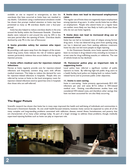available on site to respond to emergencies, to date the overdoses that have occurred at Insite have not resulted in any deaths. Calculation using a mathematical simulation model has shown that prompt medical attention at Insite may have prevented as many as 48 overdose deaths over a four-year period.

 Insite has also helped to reduce overdose deaths in the area around the facility within the Downtown Eastside. Overdose deaths were reduced in and around the area by 35% in the two-year period after the opening of Insite. Overdose deaths declined by only 9% in the rest of Vancouver.

#### **6. Insite provides safety for women who inject drugs**

By providing a safe space away from the dangers of the streetbased drug scene, Insite reduces the risk of violence against women, particularly violence that occurs before or during the injection process.

#### **7. Insite offers medical care for injection-related infections**

Nurses at Insite regularly provide care for injection-related infections and frequently connect drug users with off-site medical treatment. This helps to reduce the demand for care for injection-related infections in hospitals. People who are referred by nurses at Insite to the local emergency room for injection-related infections tend to spend less time in hospitals than those who are self-referred.

#### **8. Insite does not lead to decreased employment rates**

The regular use of Insite does not negatively impact employment among injection drug users. In other words, Insite has no effect on employment. People who attend Insite on a regular basis are neither more likely nor less likely to hold a job than those who do not use Insite regularly.

#### **9. Insite does not lead to increased drug use or increased crime**

Insite has not led to increased rates of relapse among former drug users. It has not deterred drug users from quitting using, nor has it deterred users from seeking addiction treatment. Insite has also not led more people to begin injecting.

In the Downtown Eastside, since Insite opened, there has been no increase in drug-related crime, including no increase in arrest rates for drug trafficking, assaults, or robberies. The rate of vehicle break-ins has declined.

#### **10. Vancouver police play an important role in supporting Insite**

Local police have referred a significant number of public injectors to Insite. By referring high-risk public drug users to a health facility, local police are helping both to reduce healthrelated harms and to promote public order objectives.

#### **11. Insite is cost-saving**

Insite is cost-saving. Insite prevents approximately 83.5 HIV infections per year and saves \$17.6 million in HIV-related medical care. Existing cost-effectiveness studies have only considered HIV-related costs, and therefore other savings that have not been accounted for are also likely occurring.

### **The Bigger Picture**

Scientific research has shown that Insite has in many ways improved the health and well-being of individuals and communities in Vancouver's Downtown Eastside. As one small health-focused initiative, however, Insite cannot be expected to solve all of the many complex and long-standing problems associated with addiction, disease, mental illness, homelessness, and poverty that are characteristic of so many urban settings today. As part of a larger strategy to address these problems, though, medically supervised injecting facilities such as Insite can play an important role.